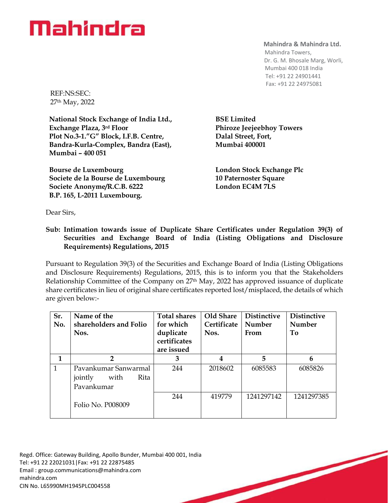## Mahindra

**Mahindra & Mahindra Ltd.**

 Mahindra Towers, Dr. G. M. Bhosale Marg, Worli, Mumbai 400 018 India Tel: +91 22 24901441 Fax: +91 22 24975081

REF:NS:SEC: 27th May, 2022

**National Stock Exchange of India Ltd., Exchange Plaza, 3rd Floor Plot No.3-1."G" Block, I.F.B. Centre, Bandra-Kurla-Complex, Bandra (East), Mumbai – 400 051**

**Bourse de Luxembourg Societe de la Bourse de Luxembourg Societe Anonyme/R.C.B. 6222 B.P. 165, L-2011 Luxembourg.**

**BSE Limited Phiroze Jeejeebhoy Towers Dalal Street, Fort, Mumbai 400001**

**London Stock Exchange Plc 10 Paternoster Square London EC4M 7LS**

Dear Sirs,

## **Sub: Intimation towards issue of Duplicate Share Certificates under Regulation 39(3) of Securities and Exchange Board of India (Listing Obligations and Disclosure Requirements) Regulations, 2015**

Pursuant to Regulation 39(3) of the Securities and Exchange Board of India (Listing Obligations and Disclosure Requirements) Regulations, 2015, this is to inform you that the Stakeholders Relationship Committee of the Company on 27<sup>th</sup> May, 2022 has approved issuance of duplicate share certificates in lieu of original share certificates reported lost/misplaced, the details of which are given below:-

| Sr.<br>No.   | Name of the<br>shareholders and Folio<br>Nos.                 | <b>Total shares</b><br>for which<br>duplicate<br>certificates<br>are issued | Old Share<br><b>Certificate</b><br>Nos. | <b>Distinctive</b><br>Number<br>From | <b>Distinctive</b><br>Number<br>To |
|--------------|---------------------------------------------------------------|-----------------------------------------------------------------------------|-----------------------------------------|--------------------------------------|------------------------------------|
| 1            | $\mathbf{2}$                                                  | 3                                                                           | 4                                       | 5                                    | 6                                  |
| $\mathbf{1}$ | Pavankumar Sanwarmal<br>Rita<br>jointly<br>with<br>Pavankumar | 244                                                                         | 2018602                                 | 6085583                              | 6085826                            |
|              | Folio No. P008009                                             | 244                                                                         | 419779                                  | 1241297142                           | 1241297385                         |

Regd. Office: Gateway Building, Apollo Bunder, Mumbai 400 001, India Tel: +91 22 22021031|Fax: +91 22 22875485 Email : [group.communications@mahindra.com](mailto:group.communications@mahindra.com) mahindra.com CIN No. L65990MH1945PLC004558